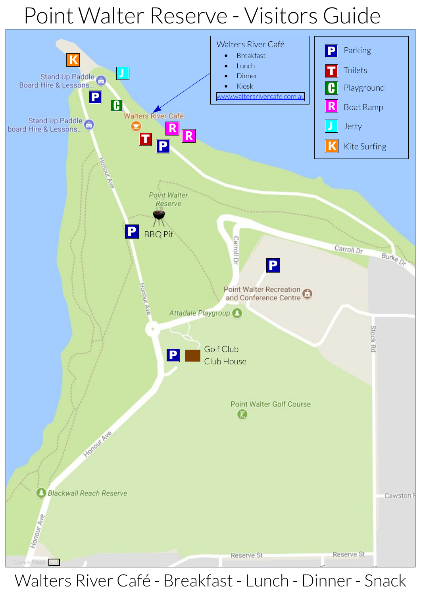### Point Walter Reserve - Visitors Guide



### Walters River Café - Breakfast - Lunch - Dinner - Snack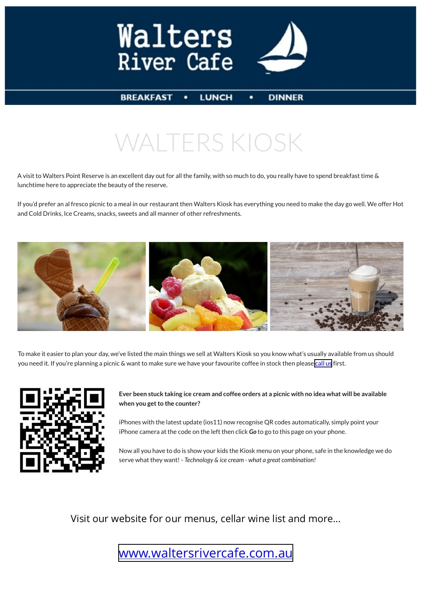



#### **BREAKFAST**

**LUNCH** 

**DINNER** 

## WALTERS KIOSK

A visit to Walters Point Reserve is an excellent day out for all the family, with so much to do, you really have to spend breakfast time & lunchtime here to appreciate the beauty of the reserve.

If you'd prefer an al fresco picnic to a meal in our restaurant then Walters Kiosk has everything you need to make the day go well. We offer Hot and Cold Drinks, Ice Creams, snacks, sweets and all manner of other refreshments.



To make it easier to plan your day, we've listed the main things we sell at Walters Kiosk so you know what's usually available from us should you need it. If you're planning a picnic & want to make sure we have your favourite coffee in stock then please [call us](http://www.waltersrivecafe.com.au/contact.htm) first.



**Ever been stuck taking ice cream and coffee orders at a picnic with no idea what will be available when you get to the counter?**

iPhones with the latest update (ios11) now recognise QR codes automatically, simply point your iPhone camera at the code on the left then click *Go* to go to this page on your phone.

Now all you have to do is show your kids the Kiosk menu on your phone, safe in the knowledge we do serve what they want! - *Technology & ice cream - what a great combination!*

Visit our website for our menus, cellar wine list and more…

### [www.waltersrivercafe.com.au](http://www.waltersrivercafe.com.au/)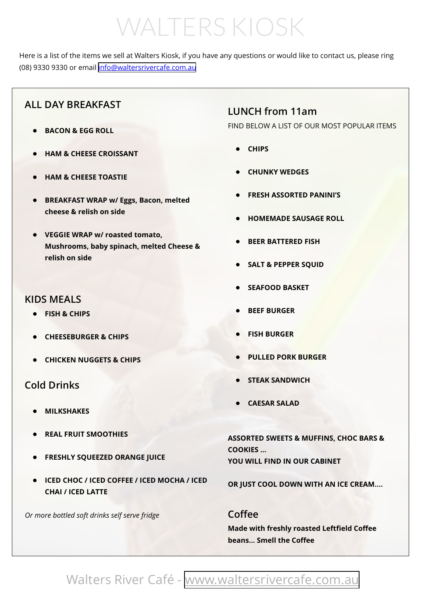# WALTERS KIOSK

Here is a list of the items we sell at Walters Kiosk, if you have any questions or would like to contact us, please ring<br>(08) 9330 9330 or email [info@waltersrivercafe.com.au](mailto:info@waltersrivercafe.com.au)

#### **ALL DAY BREAKFAST**

- **• BACON & EGG ROLL**
- **• HAM & CHEESE CROISSANT**
- **• HAM & CHEESE TOASTIE**
- **• BREAKFAST WRAP w/ Eggs, Bacon, melted cheese & relish on side**
- **• VEGGIE WRAP w/ roasted tomato, Mushrooms, baby spinach, melted Cheese & relish on side**

#### **KIDS MEALS**

- **• FISH & CHIPS**
- **• CHEESEBURGER & CHIPS**
- **• CHICKEN NUGGETS & CHIPS**

#### **Cold Drinks**

- **• MILKSHAKES**
- **• REAL FRUIT SMOOTHIES**
- **• FRESHLY SQUEEZED ORANGE JUICE**
- **• ICED CHOC / ICED COFFEE / ICED MOCHA / ICED CHAI / ICED LATTE**

*Or more bottled soft drinks self serve fridge*

#### **LUNCH from 11am**

FIND BELOW A LIST OF OUR MOST POPULAR ITEMS

- **• CHIPS**
- **• CHUNKY WEDGES**
- **• FRESH ASSORTED PANINI'S**
- **• HOMEMADE SAUSAGE ROLL**
- **• BEER BATTERED FISH**
- **• SALT & PEPPER SQUID**
- **• SEAFOOD BASKET**
- **• BEEF BURGER**
- **• FISH BURGER**
- **• PULLED PORK BURGER**
- **• STEAK SANDWICH**
- **• CAESAR SALAD**

**ASSORTED SWEETS & MUFFINS, CHOC BARS & COOKIES … YOU WILL FIND IN OUR CABINET** 

**OR JUST COOL DOWN WITH AN ICE CREAM….**

#### **Coffee**

**Made with freshly roasted Leftfield Coffee beans… Smell the Coffee**

### Walters River Café - [www.waltersrivercafe.com.au](http://www.waltersrivercafe.com.au/)